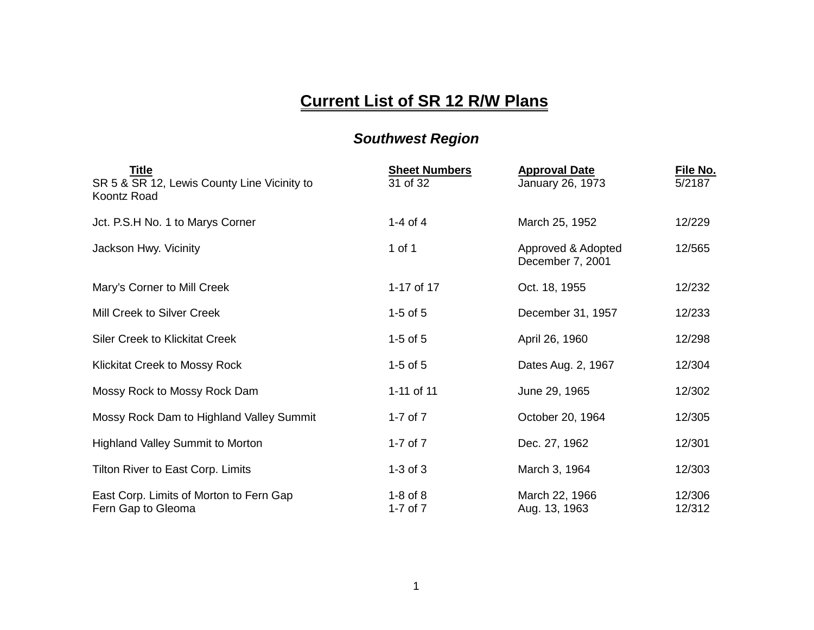## **Current List of SR 12 R/W Plans**

## *Southwest Region*

| <b>Title</b><br>SR 5 & SR 12, Lewis County Line Vicinity to<br>Koontz Road | <b>Sheet Numbers</b><br>31 of 32 | <b>Approval Date</b><br>January 26, 1973 | File No.<br>5/2187 |
|----------------------------------------------------------------------------|----------------------------------|------------------------------------------|--------------------|
| Jct. P.S.H No. 1 to Marys Corner                                           | 1-4 of 4                         | March 25, 1952                           | 12/229             |
| Jackson Hwy. Vicinity                                                      | 1 of 1                           | Approved & Adopted<br>December 7, 2001   | 12/565             |
| Mary's Corner to Mill Creek                                                | 1-17 of 17                       | Oct. 18, 1955                            | 12/232             |
| Mill Creek to Silver Creek                                                 | $1-5$ of $5$                     | December 31, 1957                        | 12/233             |
| <b>Siler Creek to Klickitat Creek</b>                                      | $1-5$ of $5$                     | April 26, 1960                           | 12/298             |
| <b>Klickitat Creek to Mossy Rock</b>                                       | $1-5$ of $5$                     | Dates Aug. 2, 1967                       | 12/304             |
| Mossy Rock to Mossy Rock Dam                                               | 1-11 of 11                       | June 29, 1965                            | 12/302             |
| Mossy Rock Dam to Highland Valley Summit                                   | 1-7 of $7$                       | October 20, 1964                         | 12/305             |
| <b>Highland Valley Summit to Morton</b>                                    | 1-7 of $7$                       | Dec. 27, 1962                            | 12/301             |
| Tilton River to East Corp. Limits                                          | $1-3$ of $3$                     | March 3, 1964                            | 12/303             |
| East Corp. Limits of Morton to Fern Gap<br>Fern Gap to Gleoma              | $1-8$ of $8$<br>1-7 of $7$       | March 22, 1966<br>Aug. 13, 1963          | 12/306<br>12/312   |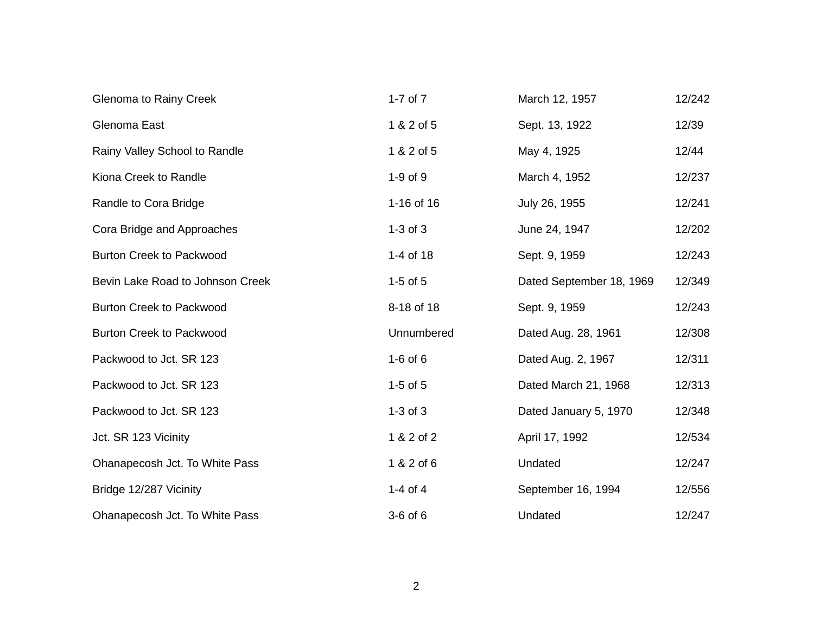| <b>Glenoma to Rainy Creek</b>    | 1-7 of $7$   | March 12, 1957           | 12/242 |
|----------------------------------|--------------|--------------------------|--------|
| Glenoma East                     | 1 & 2 of 5   | Sept. 13, 1922           | 12/39  |
| Rainy Valley School to Randle    | 1 & 2 of 5   | May 4, 1925              | 12/44  |
| Kiona Creek to Randle            | $1-9$ of $9$ | March 4, 1952            | 12/237 |
| Randle to Cora Bridge            | 1-16 of 16   | July 26, 1955            | 12/241 |
| Cora Bridge and Approaches       | $1-3$ of $3$ | June 24, 1947            | 12/202 |
| <b>Burton Creek to Packwood</b>  | 1-4 of 18    | Sept. 9, 1959            | 12/243 |
| Bevin Lake Road to Johnson Creek | $1-5$ of $5$ | Dated September 18, 1969 | 12/349 |
| <b>Burton Creek to Packwood</b>  | 8-18 of 18   | Sept. 9, 1959            | 12/243 |
| <b>Burton Creek to Packwood</b>  | Unnumbered   | Dated Aug. 28, 1961      | 12/308 |
| Packwood to Jct. SR 123          | $1-6$ of $6$ | Dated Aug. 2, 1967       | 12/311 |
| Packwood to Jct. SR 123          | $1-5$ of $5$ | Dated March 21, 1968     | 12/313 |
| Packwood to Jct. SR 123          | $1-3$ of $3$ | Dated January 5, 1970    | 12/348 |
| Jct. SR 123 Vicinity             | 1 & 2 of 2   | April 17, 1992           | 12/534 |
| Ohanapecosh Jct. To White Pass   | 1 & 2 of 6   | Undated                  | 12/247 |
| Bridge 12/287 Vicinity           | 1-4 of 4     | September 16, 1994       | 12/556 |
| Ohanapecosh Jct. To White Pass   | 3-6 of 6     | Undated                  | 12/247 |